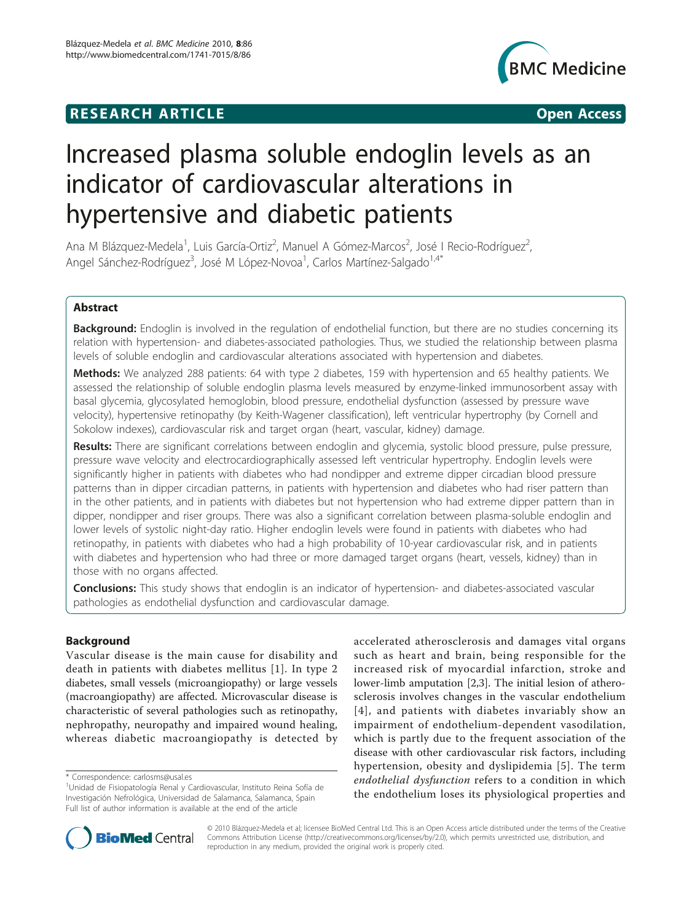## **RESEARCH ARTICLE CONSUMING ACCESS**



# Increased plasma soluble endoglin levels as an indicator of cardiovascular alterations in hypertensive and diabetic patients

Ana M Blázquez-Medela<sup>1</sup>, Luis García-Ortiz<sup>2</sup>, Manuel A Gómez-Marcos<sup>2</sup>, José I Recio-Rodríguez<sup>2</sup> .<br>, Angel Sánchez-Rodríguez<sup>3</sup>, José M López-Novoa<sup>1</sup>, Carlos Martínez-Salgado<sup>1,4\*</sup>

## Abstract

Background: Endoglin is involved in the regulation of endothelial function, but there are no studies concerning its relation with hypertension- and diabetes-associated pathologies. Thus, we studied the relationship between plasma levels of soluble endoglin and cardiovascular alterations associated with hypertension and diabetes.

Methods: We analyzed 288 patients: 64 with type 2 diabetes, 159 with hypertension and 65 healthy patients. We assessed the relationship of soluble endoglin plasma levels measured by enzyme-linked immunosorbent assay with basal glycemia, glycosylated hemoglobin, blood pressure, endothelial dysfunction (assessed by pressure wave velocity), hypertensive retinopathy (by Keith-Wagener classification), left ventricular hypertrophy (by Cornell and Sokolow indexes), cardiovascular risk and target organ (heart, vascular, kidney) damage.

Results: There are significant correlations between endoglin and glycemia, systolic blood pressure, pulse pressure, pressure wave velocity and electrocardiographically assessed left ventricular hypertrophy. Endoglin levels were significantly higher in patients with diabetes who had nondipper and extreme dipper circadian blood pressure patterns than in dipper circadian patterns, in patients with hypertension and diabetes who had riser pattern than in the other patients, and in patients with diabetes but not hypertension who had extreme dipper pattern than in dipper, nondipper and riser groups. There was also a significant correlation between plasma-soluble endoglin and lower levels of systolic night-day ratio. Higher endoglin levels were found in patients with diabetes who had retinopathy, in patients with diabetes who had a high probability of 10-year cardiovascular risk, and in patients with diabetes and hypertension who had three or more damaged target organs (heart, vessels, kidney) than in those with no organs affected.

**Conclusions:** This study shows that endoglin is an indicator of hypertension- and diabetes-associated vascular pathologies as endothelial dysfunction and cardiovascular damage.

## Background

Vascular disease is the main cause for disability and death in patients with diabetes mellitus [[1\]](#page-10-0). In type 2 diabetes, small vessels (microangiopathy) or large vessels (macroangiopathy) are affected. Microvascular disease is characteristic of several pathologies such as retinopathy, nephropathy, neuropathy and impaired wound healing, whereas diabetic macroangiopathy is detected by accelerated atherosclerosis and damages vital organs such as heart and brain, being responsible for the increased risk of myocardial infarction, stroke and lower-limb amputation [\[2,3](#page-10-0)]. The initial lesion of atherosclerosis involves changes in the vascular endothelium [[4\]](#page-10-0), and patients with diabetes invariably show an impairment of endothelium-dependent vasodilation, which is partly due to the frequent association of the disease with other cardiovascular risk factors, including hypertension, obesity and dyslipidemia [[5\]](#page-10-0). The term endothelial dysfunction refers to a condition in which the endothelium loses its physiological properties and



© 2010 Blázquez-Medela et al; licensee BioMed Central Ltd. This is an Open Access article distributed under the terms of the Creative Commons Attribution License [\(http://creativecommons.org/licenses/by/2.0](http://creativecommons.org/licenses/by/2.0)), which permits unrestricted use, distribution, and reproduction in any medium, provided the original work is properly cited.

<sup>\*</sup> Correspondence: [carlosms@usal.es](mailto:carlosms@usal.es)

<sup>&</sup>lt;sup>1</sup>Unidad de Fisiopatología Renal y Cardiovascular, Instituto Reina Sofía de Investigación Nefrológica, Universidad de Salamanca, Salamanca, Spain Full list of author information is available at the end of the article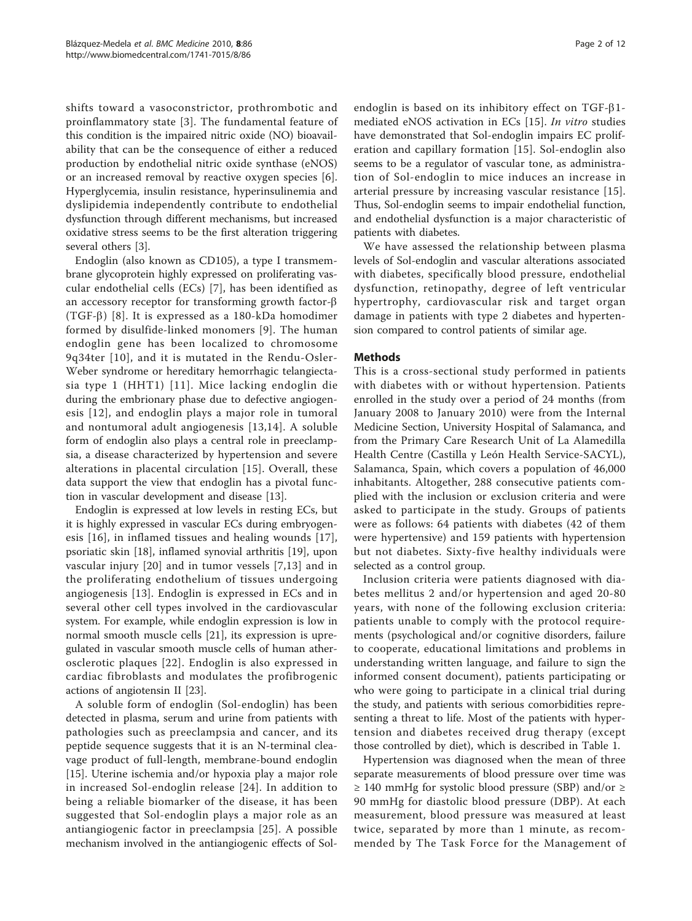shifts toward a vasoconstrictor, prothrombotic and proinflammatory state [\[3](#page-10-0)]. The fundamental feature of this condition is the impaired nitric oxide (NO) bioavailability that can be the consequence of either a reduced production by endothelial nitric oxide synthase (eNOS) or an increased removal by reactive oxygen species [[6](#page-10-0)]. Hyperglycemia, insulin resistance, hyperinsulinemia and dyslipidemia independently contribute to endothelial dysfunction through different mechanisms, but increased oxidative stress seems to be the first alteration triggering several others [\[3](#page-10-0)].

Endoglin (also known as CD105), a type I transmembrane glycoprotein highly expressed on proliferating vascular endothelial cells (ECs) [[7\]](#page-10-0), has been identified as an accessory receptor for transforming growth factor- $\beta$  $(TGF- $\beta$ ) [8]. It is expressed as a 180-kDa homodimer$  $(TGF- $\beta$ ) [8]. It is expressed as a 180-kDa homodimer$  $(TGF- $\beta$ ) [8]. It is expressed as a 180-kDa homodimer$ formed by disulfide-linked monomers [\[9\]](#page-10-0). The human endoglin gene has been localized to chromosome 9q34ter [[10\]](#page-10-0), and it is mutated in the Rendu-Osler-Weber syndrome or hereditary hemorrhagic telangiectasia type 1 (HHT1) [[11](#page-10-0)]. Mice lacking endoglin die during the embrionary phase due to defective angiogenesis [[12](#page-10-0)], and endoglin plays a major role in tumoral and nontumoral adult angiogenesis [[13](#page-10-0),[14](#page-10-0)]. A soluble form of endoglin also plays a central role in preeclampsia, a disease characterized by hypertension and severe alterations in placental circulation [[15](#page-10-0)]. Overall, these data support the view that endoglin has a pivotal function in vascular development and disease [[13\]](#page-10-0).

Endoglin is expressed at low levels in resting ECs, but it is highly expressed in vascular ECs during embryogenesis [[16\]](#page-10-0), in inflamed tissues and healing wounds [[17](#page-10-0)], psoriatic skin [\[18](#page-10-0)], inflamed synovial arthritis [[19\]](#page-10-0), upon vascular injury [\[20](#page-10-0)] and in tumor vessels [[7,13\]](#page-10-0) and in the proliferating endothelium of tissues undergoing angiogenesis [[13\]](#page-10-0). Endoglin is expressed in ECs and in several other cell types involved in the cardiovascular system. For example, while endoglin expression is low in normal smooth muscle cells [\[21](#page-10-0)], its expression is upregulated in vascular smooth muscle cells of human atherosclerotic plaques [[22](#page-10-0)]. Endoglin is also expressed in cardiac fibroblasts and modulates the profibrogenic actions of angiotensin II [[23](#page-10-0)].

A soluble form of endoglin (Sol-endoglin) has been detected in plasma, serum and urine from patients with pathologies such as preeclampsia and cancer, and its peptide sequence suggests that it is an N-terminal cleavage product of full-length, membrane-bound endoglin [[15\]](#page-10-0). Uterine ischemia and/or hypoxia play a major role in increased Sol-endoglin release [[24\]](#page-10-0). In addition to being a reliable biomarker of the disease, it has been suggested that Sol-endoglin plays a major role as an antiangiogenic factor in preeclampsia [[25](#page-10-0)]. A possible mechanism involved in the antiangiogenic effects of Solendoglin is based on its inhibitory effect on TGF- $\beta$ 1mediated eNOS activation in ECs [[15](#page-10-0)]. In vitro studies have demonstrated that Sol-endoglin impairs EC proliferation and capillary formation [[15\]](#page-10-0). Sol-endoglin also seems to be a regulator of vascular tone, as administration of Sol-endoglin to mice induces an increase in arterial pressure by increasing vascular resistance [[15](#page-10-0)]. Thus, Sol-endoglin seems to impair endothelial function, and endothelial dysfunction is a major characteristic of patients with diabetes.

We have assessed the relationship between plasma levels of Sol-endoglin and vascular alterations associated with diabetes, specifically blood pressure, endothelial dysfunction, retinopathy, degree of left ventricular hypertrophy, cardiovascular risk and target organ damage in patients with type 2 diabetes and hypertension compared to control patients of similar age.

## Methods

This is a cross-sectional study performed in patients with diabetes with or without hypertension. Patients enrolled in the study over a period of 24 months (from January 2008 to January 2010) were from the Internal Medicine Section, University Hospital of Salamanca, and from the Primary Care Research Unit of La Alamedilla Health Centre (Castilla y León Health Service-SACYL), Salamanca, Spain, which covers a population of 46,000 inhabitants. Altogether, 288 consecutive patients complied with the inclusion or exclusion criteria and were asked to participate in the study. Groups of patients were as follows: 64 patients with diabetes (42 of them were hypertensive) and 159 patients with hypertension but not diabetes. Sixty-five healthy individuals were selected as a control group.

Inclusion criteria were patients diagnosed with diabetes mellitus 2 and/or hypertension and aged 20-80 years, with none of the following exclusion criteria: patients unable to comply with the protocol requirements (psychological and/or cognitive disorders, failure to cooperate, educational limitations and problems in understanding written language, and failure to sign the informed consent document), patients participating or who were going to participate in a clinical trial during the study, and patients with serious comorbidities representing a threat to life. Most of the patients with hypertension and diabetes received drug therapy (except those controlled by diet), which is described in Table [1.](#page-2-0)

Hypertension was diagnosed when the mean of three separate measurements of blood pressure over time was ≥ 140 mmHg for systolic blood pressure (SBP) and/or ≥ 90 mmHg for diastolic blood pressure (DBP). At each measurement, blood pressure was measured at least twice, separated by more than 1 minute, as recommended by The Task Force for the Management of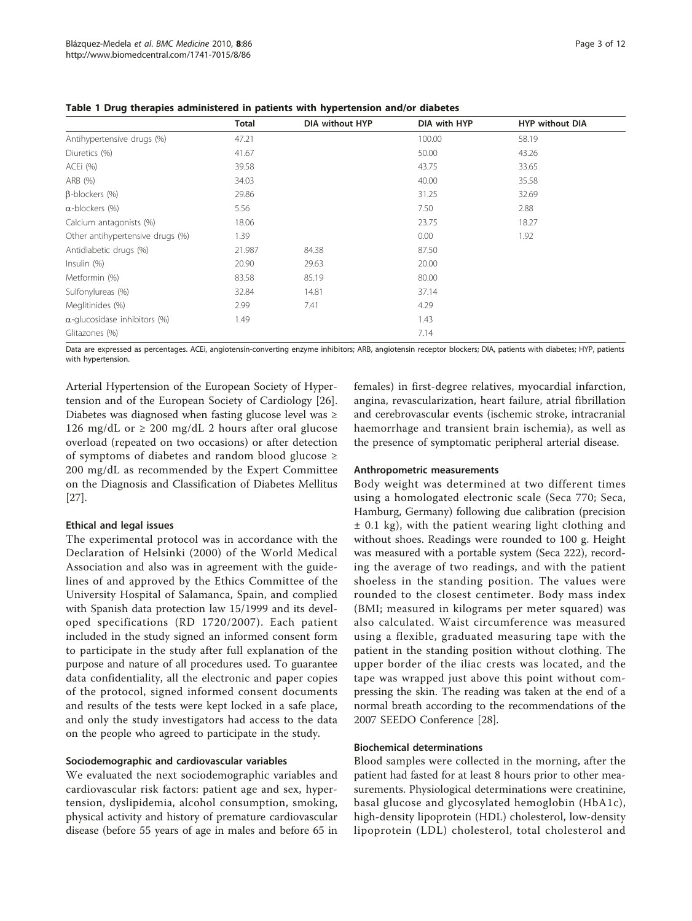|                                      | Total  | <b>DIA without HYP</b> | DIA with HYP | <b>HYP without DIA</b> |
|--------------------------------------|--------|------------------------|--------------|------------------------|
| Antihypertensive drugs (%)           | 47.21  |                        | 100.00       | 58.19                  |
| Diuretics (%)                        | 41.67  |                        | 50.00        | 43.26                  |
| ACEi (%)                             | 39.58  |                        | 43.75        | 33.65                  |
| ARB (%)                              | 34.03  |                        | 40.00        | 35.58                  |
| $\beta$ -blockers (%)                | 29.86  |                        | 31.25        | 32.69                  |
| $\alpha$ -blockers (%)               | 5.56   |                        | 7.50         | 2.88                   |
| Calcium antagonists (%)              | 18.06  |                        | 23.75        | 18.27                  |
| Other antihypertensive drugs (%)     | 1.39   |                        | 0.00         | 1.92                   |
| Antidiabetic drugs (%)               | 21.987 | 84.38                  | 87.50        |                        |
| Insulin $(%)$                        | 20.90  | 29.63                  | 20.00        |                        |
| Metformin (%)                        | 83.58  | 85.19                  | 80.00        |                        |
| Sulfonylureas (%)                    | 32.84  | 14.81                  | 37.14        |                        |
| Meglitinides (%)                     | 2.99   | 7.41                   | 4.29         |                        |
| $\alpha$ -glucosidase inhibitors (%) | 1.49   |                        | 1.43         |                        |
| Glitazones (%)                       |        |                        | 7.14         |                        |

<span id="page-2-0"></span>Table 1 Drug therapies administered in patients with hypertension and/or diabetes

Data are expressed as percentages. ACEi, angiotensin-converting enzyme inhibitors; ARB, angiotensin receptor blockers; DIA, patients with diabetes; HYP, patients with hypertension.

Arterial Hypertension of the European Society of Hypertension and of the European Society of Cardiology [\[26](#page-10-0)]. Diabetes was diagnosed when fasting glucose level was ≥ 126 mg/dL or  $\geq$  200 mg/dL 2 hours after oral glucose overload (repeated on two occasions) or after detection of symptoms of diabetes and random blood glucose ≥ 200 mg/dL as recommended by the Expert Committee on the Diagnosis and Classification of Diabetes Mellitus [[27\]](#page-10-0).

## Ethical and legal issues

The experimental protocol was in accordance with the Declaration of Helsinki (2000) of the World Medical Association and also was in agreement with the guidelines of and approved by the Ethics Committee of the University Hospital of Salamanca, Spain, and complied with Spanish data protection law 15/1999 and its developed specifications (RD 1720/2007). Each patient included in the study signed an informed consent form to participate in the study after full explanation of the purpose and nature of all procedures used. To guarantee data confidentiality, all the electronic and paper copies of the protocol, signed informed consent documents and results of the tests were kept locked in a safe place, and only the study investigators had access to the data on the people who agreed to participate in the study.

#### Sociodemographic and cardiovascular variables

We evaluated the next sociodemographic variables and cardiovascular risk factors: patient age and sex, hypertension, dyslipidemia, alcohol consumption, smoking, physical activity and history of premature cardiovascular disease (before 55 years of age in males and before 65 in

females) in first-degree relatives, myocardial infarction, angina, revascularization, heart failure, atrial fibrillation and cerebrovascular events (ischemic stroke, intracranial haemorrhage and transient brain ischemia), as well as the presence of symptomatic peripheral arterial disease.

#### Anthropometric measurements

Body weight was determined at two different times using a homologated electronic scale (Seca 770; Seca, Hamburg, Germany) following due calibration (precision ± 0.1 kg), with the patient wearing light clothing and without shoes. Readings were rounded to 100 g. Height was measured with a portable system (Seca 222), recording the average of two readings, and with the patient shoeless in the standing position. The values were rounded to the closest centimeter. Body mass index (BMI; measured in kilograms per meter squared) was also calculated. Waist circumference was measured using a flexible, graduated measuring tape with the patient in the standing position without clothing. The upper border of the iliac crests was located, and the tape was wrapped just above this point without compressing the skin. The reading was taken at the end of a normal breath according to the recommendations of the 2007 SEEDO Conference [\[28](#page-10-0)].

## Biochemical determinations

Blood samples were collected in the morning, after the patient had fasted for at least 8 hours prior to other measurements. Physiological determinations were creatinine, basal glucose and glycosylated hemoglobin (HbA1c), high-density lipoprotein (HDL) cholesterol, low-density lipoprotein (LDL) cholesterol, total cholesterol and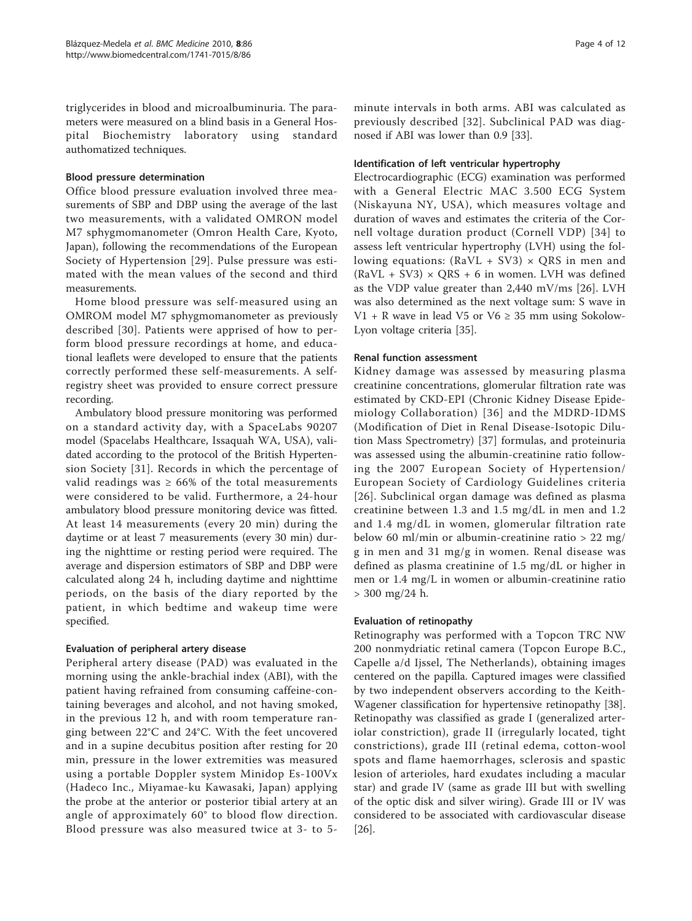triglycerides in blood and microalbuminuria. The parameters were measured on a blind basis in a General Hospital Biochemistry laboratory using standard authomatized techniques.

#### Blood pressure determination

Office blood pressure evaluation involved three measurements of SBP and DBP using the average of the last two measurements, with a validated OMRON model M7 sphygmomanometer (Omron Health Care, Kyoto, Japan), following the recommendations of the European Society of Hypertension [[29\]](#page-10-0). Pulse pressure was estimated with the mean values of the second and third measurements.

Home blood pressure was self-measured using an OMROM model M7 sphygmomanometer as previously described [[30](#page-10-0)]. Patients were apprised of how to perform blood pressure recordings at home, and educational leaflets were developed to ensure that the patients correctly performed these self-measurements. A selfregistry sheet was provided to ensure correct pressure recording.

Ambulatory blood pressure monitoring was performed on a standard activity day, with a SpaceLabs 90207 model (Spacelabs Healthcare, Issaquah WA, USA), validated according to the protocol of the British Hypertension Society [[31](#page-10-0)]. Records in which the percentage of valid readings was  $\geq 66\%$  of the total measurements were considered to be valid. Furthermore, a 24-hour ambulatory blood pressure monitoring device was fitted. At least 14 measurements (every 20 min) during the daytime or at least 7 measurements (every 30 min) during the nighttime or resting period were required. The average and dispersion estimators of SBP and DBP were calculated along 24 h, including daytime and nighttime periods, on the basis of the diary reported by the patient, in which bedtime and wakeup time were specified.

## Evaluation of peripheral artery disease

Peripheral artery disease (PAD) was evaluated in the morning using the ankle-brachial index (ABI), with the patient having refrained from consuming caffeine-containing beverages and alcohol, and not having smoked, in the previous 12 h, and with room temperature ranging between 22°C and 24°C. With the feet uncovered and in a supine decubitus position after resting for 20 min, pressure in the lower extremities was measured using a portable Doppler system Minidop Es-100Vx (Hadeco Inc., Miyamae-ku Kawasaki, Japan) applying the probe at the anterior or posterior tibial artery at an angle of approximately 60° to blood flow direction. Blood pressure was also measured twice at 3- to 5-

minute intervals in both arms. ABI was calculated as previously described [[32](#page-10-0)]. Subclinical PAD was diagnosed if ABI was lower than 0.9 [\[33](#page-11-0)].

## Identification of left ventricular hypertrophy

Electrocardiographic (ECG) examination was performed with a General Electric MAC 3.500 ECG System (Niskayuna NY, USA), which measures voltage and duration of waves and estimates the criteria of the Cornell voltage duration product (Cornell VDP) [[34\]](#page-11-0) to assess left ventricular hypertrophy (LVH) using the following equations: (RaVL + SV3) × QRS in men and  $(RaVL + SV3) \times QRS + 6$  in women. LVH was defined as the VDP value greater than 2,440 mV/ms [[26\]](#page-10-0). LVH was also determined as the next voltage sum: S wave in V1 + R wave in lead V5 or V6  $\geq$  35 mm using Sokolow-Lyon voltage criteria [\[35](#page-11-0)].

## Renal function assessment

Kidney damage was assessed by measuring plasma creatinine concentrations, glomerular filtration rate was estimated by CKD-EPI (Chronic Kidney Disease Epidemiology Collaboration) [[36](#page-11-0)] and the MDRD-IDMS (Modification of Diet in Renal Disease-Isotopic Dilution Mass Spectrometry) [[37\]](#page-11-0) formulas, and proteinuria was assessed using the albumin-creatinine ratio following the 2007 European Society of Hypertension/ European Society of Cardiology Guidelines criteria [[26](#page-10-0)]. Subclinical organ damage was defined as plasma creatinine between 1.3 and 1.5 mg/dL in men and 1.2 and 1.4 mg/dL in women, glomerular filtration rate below 60 ml/min or albumin-creatinine ratio > 22 mg/ g in men and 31 mg/g in women. Renal disease was defined as plasma creatinine of 1.5 mg/dL or higher in men or 1.4 mg/L in women or albumin-creatinine ratio > 300 mg/24 h.

## Evaluation of retinopathy

Retinography was performed with a Topcon TRC NW 200 nonmydriatic retinal camera (Topcon Europe B.C., Capelle a/d Ijssel, The Netherlands), obtaining images centered on the papilla. Captured images were classified by two independent observers according to the Keith-Wagener classification for hypertensive retinopathy [\[38](#page-11-0)]. Retinopathy was classified as grade I (generalized arteriolar constriction), grade II (irregularly located, tight constrictions), grade III (retinal edema, cotton-wool spots and flame haemorrhages, sclerosis and spastic lesion of arterioles, hard exudates including a macular star) and grade IV (same as grade III but with swelling of the optic disk and silver wiring). Grade III or IV was considered to be associated with cardiovascular disease [[26\]](#page-10-0).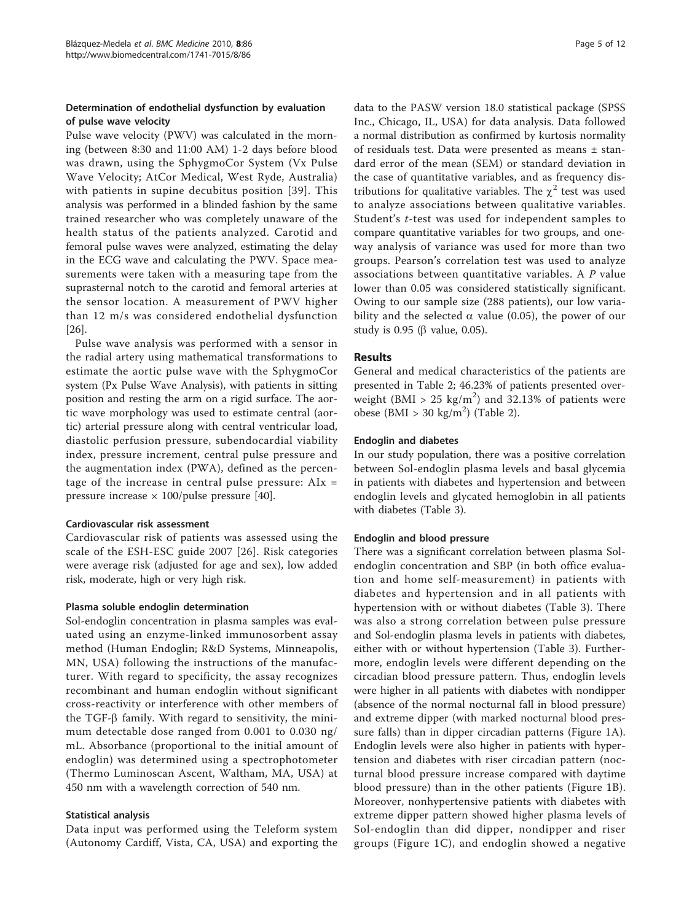## Determination of endothelial dysfunction by evaluation of pulse wave velocity

Pulse wave velocity (PWV) was calculated in the morning (between 8:30 and 11:00 AM) 1-2 days before blood was drawn, using the SphygmoCor System (Vx Pulse Wave Velocity; AtCor Medical, West Ryde, Australia) with patients in supine decubitus position [[39\]](#page-11-0). This analysis was performed in a blinded fashion by the same trained researcher who was completely unaware of the health status of the patients analyzed. Carotid and femoral pulse waves were analyzed, estimating the delay in the ECG wave and calculating the PWV. Space measurements were taken with a measuring tape from the suprasternal notch to the carotid and femoral arteries at the sensor location. A measurement of PWV higher than 12 m/s was considered endothelial dysfunction [[26\]](#page-10-0).

Pulse wave analysis was performed with a sensor in the radial artery using mathematical transformations to estimate the aortic pulse wave with the SphygmoCor system (Px Pulse Wave Analysis), with patients in sitting position and resting the arm on a rigid surface. The aortic wave morphology was used to estimate central (aortic) arterial pressure along with central ventricular load, diastolic perfusion pressure, subendocardial viability index, pressure increment, central pulse pressure and the augmentation index (PWA), defined as the percentage of the increase in central pulse pressure: AIx = pressure increase  $\times$  100/pulse pressure [\[40\]](#page-11-0).

## Cardiovascular risk assessment

Cardiovascular risk of patients was assessed using the scale of the ESH-ESC guide 2007 [\[26](#page-10-0)]. Risk categories were average risk (adjusted for age and sex), low added risk, moderate, high or very high risk.

#### Plasma soluble endoglin determination

Sol-endoglin concentration in plasma samples was evaluated using an enzyme-linked immunosorbent assay method (Human Endoglin; R&D Systems, Minneapolis, MN, USA) following the instructions of the manufacturer. With regard to specificity, the assay recognizes recombinant and human endoglin without significant cross-reactivity or interference with other members of the TGF- $\beta$  family. With regard to sensitivity, the minimum detectable dose ranged from 0.001 to 0.030 ng/ mL. Absorbance (proportional to the initial amount of endoglin) was determined using a spectrophotometer (Thermo Luminoscan Ascent, Waltham, MA, USA) at 450 nm with a wavelength correction of 540 nm.

## Statistical analysis

Data input was performed using the Teleform system (Autonomy Cardiff, Vista, CA, USA) and exporting the

data to the PASW version 18.0 statistical package (SPSS Inc., Chicago, IL, USA) for data analysis. Data followed a normal distribution as confirmed by kurtosis normality of residuals test. Data were presented as means ± standard error of the mean (SEM) or standard deviation in the case of quantitative variables, and as frequency distributions for qualitative variables. The  $\chi^2$  test was used to analyze associations between qualitative variables. Student's t-test was used for independent samples to compare quantitative variables for two groups, and oneway analysis of variance was used for more than two groups. Pearson's correlation test was used to analyze associations between quantitative variables. A P value lower than 0.05 was considered statistically significant. Owing to our sample size (288 patients), our low variability and the selected  $\alpha$  value (0.05), the power of our study is 0.95 ( $\beta$  value, 0.05).

## Results

General and medical characteristics of the patients are presented in Table [2](#page-5-0); 46.23% of patients presented overweight (BMI > 25 kg/m<sup>2</sup>) and 32.13% of patients were obese (BMI > 30 kg/m<sup>2</sup>) (Table [2](#page-5-0)).

## Endoglin and diabetes

In our study population, there was a positive correlation between Sol-endoglin plasma levels and basal glycemia in patients with diabetes and hypertension and between endoglin levels and glycated hemoglobin in all patients with diabetes (Table [3](#page-5-0)).

## Endoglin and blood pressure

There was a significant correlation between plasma Solendoglin concentration and SBP (in both office evaluation and home self-measurement) in patients with diabetes and hypertension and in all patients with hypertension with or without diabetes (Table [3\)](#page-5-0). There was also a strong correlation between pulse pressure and Sol-endoglin plasma levels in patients with diabetes, either with or without hypertension (Table [3\)](#page-5-0). Furthermore, endoglin levels were different depending on the circadian blood pressure pattern. Thus, endoglin levels were higher in all patients with diabetes with nondipper (absence of the normal nocturnal fall in blood pressure) and extreme dipper (with marked nocturnal blood pressure falls) than in dipper circadian patterns (Figure [1A](#page-6-0)). Endoglin levels were also higher in patients with hypertension and diabetes with riser circadian pattern (nocturnal blood pressure increase compared with daytime blood pressure) than in the other patients (Figure [1B](#page-6-0)). Moreover, nonhypertensive patients with diabetes with extreme dipper pattern showed higher plasma levels of Sol-endoglin than did dipper, nondipper and riser groups (Figure [1C\)](#page-6-0), and endoglin showed a negative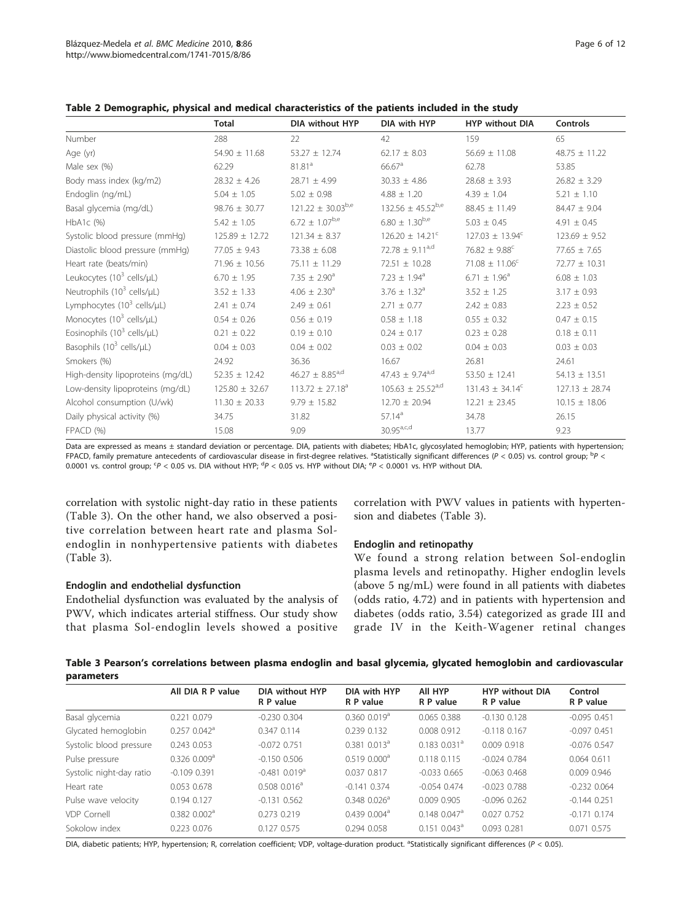|                                                | <b>Total</b>       | <b>DIA without HYP</b>          | DIA with HYP                      | <b>HYP without DIA</b>        | Controls           |
|------------------------------------------------|--------------------|---------------------------------|-----------------------------------|-------------------------------|--------------------|
| Number                                         | 288                | 22                              | 42                                | 159                           | 65                 |
| Age (yr)                                       | $54.90 \pm 11.68$  | $53.27 \pm 12.74$               | $62.17 \pm 8.03$                  | $56.69 \pm 11.08$             | $48.75 \pm 11.22$  |
| Male sex (%)                                   | 62.29              | 81.81 <sup>a</sup>              | 66.67 <sup>a</sup>                | 62.78                         | 53.85              |
| Body mass index (kg/m2)                        | $28.32 \pm 4.26$   | $28.71 \pm 4.99$                | $30.33 \pm 4.86$                  | $28.68 \pm 3.93$              | $26.82 \pm 3.29$   |
| Endoglin (ng/mL)                               | $5.04 \pm 1.05$    | $5.02 \pm 0.98$                 | $4.88 \pm 1.20$                   | $4.39 \pm 1.04$               | $5.21 \pm 1.10$    |
| Basal glycemia (mg/dL)                         | $98.76 \pm 30.77$  | $121.22 \pm 30.03^{b,e}$        | $132.56 \pm 45.52^{b,e}$          | $88.45 \pm 11.49$             | $84.47 \pm 9.04$   |
| HbA1c (%)                                      | $5.42 \pm 1.05$    | $6.72 \pm 1.07^{b,e}$           | $6.80 \pm 1.30^{b,e}$             | $5.03 \pm 0.45$               | $4.91 \pm 0.45$    |
| Systolic blood pressure (mmHg)                 | $125.89 \pm 12.72$ | $121.34 \pm 8.37$               | $126.20 \pm 14.21^c$              | $127.03 \pm 13.94^c$          | $123.69 \pm 9.52$  |
| Diastolic blood pressure (mmHg)                | $77.05 \pm 9.43$   | $73.38 \pm 6.08$                | 72.78 $\pm$ 9.11 <sup>a,d</sup>   | 76.82 $\pm$ 9.88 <sup>c</sup> | $77.65 \pm 7.65$   |
| Heart rate (beats/min)                         | 71.96 ± 10.56      | $75.11 \pm 11.29$               | 72.51 ± 10.28                     | $71.08 \pm 11.06^c$           | 72.77 ± 10.31      |
| Leukocytes $(10^3 \text{ cells/}\mu\text{L})$  | $6.70 \pm 1.95$    | 7.35 $\pm 2.90^a$               | $7.23 \pm 1.94^a$                 | $6.71 \pm 1.96^a$             | $6.08 \pm 1.03$    |
| Neutrophils $(10^3 \text{ cells/}\mu\text{L})$ | $3.52 \pm 1.33$    | $4.06 \pm 2.30$ <sup>a</sup>    | $3.76 \pm 1.32$ <sup>a</sup>      | $3.52 \pm 1.25$               | $3.17 \pm 0.93$    |
| Lymphocytes $(10^3 \text{ cells/}\mu\text{L})$ | $2.41 \pm 0.74$    | $2.49 \pm 0.61$                 | $2.71 \pm 0.77$                   | $2.42 \pm 0.83$               | $2.23 \pm 0.52$    |
| Monocytes $(10^3 \text{ cells/}\mu\text{L})$   | $0.54 \pm 0.26$    | $0.56 \pm 0.19$                 | $0.58 \pm 1.18$                   | $0.55 \pm 0.32$               | $0.47 \pm 0.15$    |
| Eosinophils (10 <sup>3</sup> cells/µL)         | $0.21 \pm 0.22$    | $0.19 \pm 0.10$                 | $0.24 \pm 0.17$                   | $0.23 \pm 0.28$               | $0.18 \pm 0.11$    |
| Basophils (10 <sup>3</sup> cells/µL)           | $0.04 \pm 0.03$    | $0.04 \pm 0.02$                 | $0.03 \pm 0.02$                   | $0.04 \pm 0.03$               | $0.03 \pm 0.03$    |
| Smokers (%)                                    | 24.92              | 36.36                           | 16.67                             | 26.81                         | 24.61              |
| High-density lipoproteins (mg/dL)              | $52.35 \pm 12.42$  | $46.27 \pm 8.85$ <sup>a,d</sup> | 47.43 $\pm$ 9.74 <sup>a,d</sup>   | $53.50 \pm 12.41$             | $54.13 \pm 13.51$  |
| Low-density lipoproteins (mg/dL)               | $125.80 \pm 32.67$ | $113.72 \pm 27.18^a$            | $105.63 \pm 25.52$ <sup>a,d</sup> | $131.43 \pm 34.14^c$          | $127.13 \pm 28.74$ |
| Alcohol consumption (U/wk)                     | $11.30 \pm 20.33$  | $9.79 \pm 15.82$                | $12.70 \pm 20.94$                 | $12.21 \pm 23.45$             | $10.15 \pm 18.06$  |
| Daily physical activity (%)                    | 34.75              | 31.82                           | $57.14^a$                         | 34.78                         | 26.15              |
| FPACD (%)                                      | 15.08              | 9.09                            | $30.95^{a,c,d}$                   | 13.77                         | 9.23               |

<span id="page-5-0"></span>Table 2 Demographic, physical and medical characteristics of the patients included in the study

Data are expressed as means ± standard deviation or percentage. DIA, patients with diabetes; HbA1c, glycosylated hemoglobin; HYP, patients with hypertension; FPACD, family premature antecedents of cardiovascular disease in first-degree relatives. <sup>a</sup>Statistically significant differences (P < 0.05) vs. control group;  ${}^{\text{b}}P$  < 0.0001 vs. control group;  $^{\circ}P < 0.05$  vs. DIA without HYP;  $^{\circ}P < 0.05$  vs. HYP without DIA;  $^{\circ}P < 0.0001$  vs. HYP without DIA.

correlation with systolic night-day ratio in these patients (Table 3). On the other hand, we also observed a positive correlation between heart rate and plasma Solendoglin in nonhypertensive patients with diabetes (Table 3).

#### Endoglin and endothelial dysfunction

Endothelial dysfunction was evaluated by the analysis of PWV, which indicates arterial stiffness. Our study show that plasma Sol-endoglin levels showed a positive

correlation with PWV values in patients with hypertension and diabetes (Table 3).

#### Endoglin and retinopathy

We found a strong relation between Sol-endoglin plasma levels and retinopathy. Higher endoglin levels (above 5 ng/mL) were found in all patients with diabetes (odds ratio, 4.72) and in patients with hypertension and diabetes (odds ratio, 3.54) categorized as grade III and grade IV in the Keith-Wagener retinal changes

Table 3 Pearson's correlations between plasma endoglin and basal glycemia, glycated hemoglobin and cardiovascular parameters

|                          | All DIA R P value         | <b>DIA without HYP</b><br>R P value | DIA with HYP<br>R P value | All HYP<br>R P value         | <b>HYP without DIA</b><br>R P value | Control<br>R P value |
|--------------------------|---------------------------|-------------------------------------|---------------------------|------------------------------|-------------------------------------|----------------------|
| Basal glycemia           | 0.221 0.079               | $-0.230$ $0.304$                    | $0.360$ $0.019a$          | 0.065 0.388                  | $-0.130$ $0.128$                    | $-0.095$ $0.451$     |
| Glycated hemoglobin      | $0.2570.042$ <sup>a</sup> | 0.347 0.114                         | 0.239 0.132               | 0.008 0.912                  | $-0.118$ 0.167                      | $-0.097$ $0.451$     |
| Systolic blood pressure  | 0.243 0.053               | $-0.072$ 0.751                      | 0.3810.013 <sup>a</sup>   | 0.1830031 <sup>a</sup>       | 0.009 0.918                         | $-0.076$ $0.547$     |
| Pulse pressure           | 0.3260.009 <sup>a</sup>   | $-0.150$ 0.506                      | $0.5190000$ <sup>a</sup>  | 0.118 0.115                  | $-0.024$ 0.784                      | 0.064 0.611          |
| Systolic night-day ratio | $-0.109$ $0.391$          | $-0.4810019a$                       | 0.037 0.817               | $-0.033$ $0.665$             | $-0.063$ $0.468$                    | 0.009 0.946          |
| Heart rate               | 0.053 0.678               | $0.508$ $0.016$ <sup>a</sup>        | $-0.141$ $0.374$          | $-0.054$ $0.474$             | $-0.023$ 0.788                      | $-0.232$ $0.064$     |
| Pulse wave velocity      | $0.194$ $0.127$           | $-0.131$ $0.562$                    | $0.3480026^a$             | 0.009 0.905                  | $-0.096$ 0.262                      | $-0.144$ $0.251$     |
| VDP Cornell              | 0.3820002 <sup>a</sup>    | 0.273 0.219                         | $0.4390004^a$             | $0.148$ $0.047$ <sup>a</sup> | 0.027 0.752                         | $-0.171$ $0.174$     |
| Sokolow index            | 0.223 0.076               | 0.127 0.575                         | 0.294 0.058               | $0.151$ $0.043$ <sup>a</sup> | 0.093 0.281                         | 0.071 0.575          |

DIA, diabetic patients; HYP, hypertension; R, correlation coefficient; VDP, voltage-duration product. <sup>a</sup>Statistically significant differences (P < 0.05).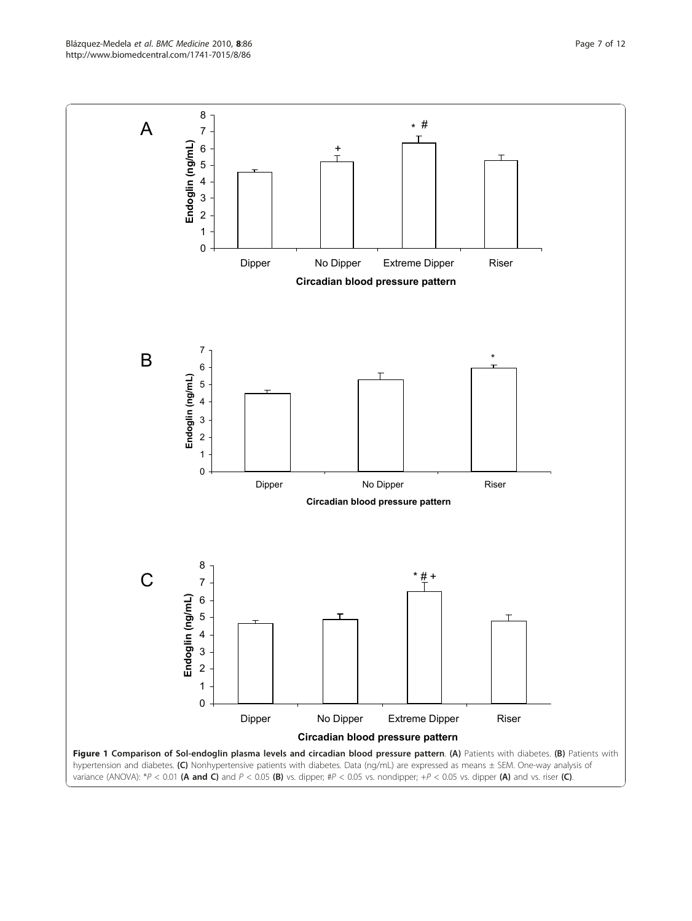<span id="page-6-0"></span>Blázquez-Medela et al. BMC Medicine 2010, 8:86 http://www.biomedcentral.com/1741-7015/8/86

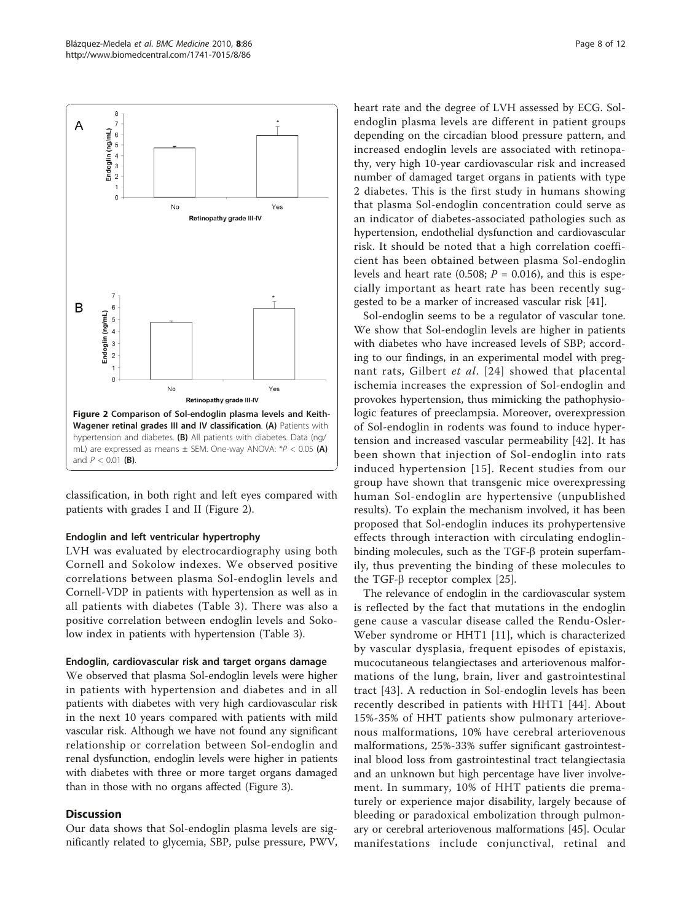

classification, in both right and left eyes compared with patients with grades I and II (Figure 2).

#### Endoglin and left ventricular hypertrophy

LVH was evaluated by electrocardiography using both Cornell and Sokolow indexes. We observed positive correlations between plasma Sol-endoglin levels and Cornell-VDP in patients with hypertension as well as in all patients with diabetes (Table [3](#page-5-0)). There was also a positive correlation between endoglin levels and Sokolow index in patients with hypertension (Table [3](#page-5-0)).

#### Endoglin, cardiovascular risk and target organs damage

We observed that plasma Sol-endoglin levels were higher in patients with hypertension and diabetes and in all patients with diabetes with very high cardiovascular risk in the next 10 years compared with patients with mild vascular risk. Although we have not found any significant relationship or correlation between Sol-endoglin and renal dysfunction, endoglin levels were higher in patients with diabetes with three or more target organs damaged than in those with no organs affected (Figure [3](#page-8-0)).

#### **Discussion**

Our data shows that Sol-endoglin plasma levels are significantly related to glycemia, SBP, pulse pressure, PWV, heart rate and the degree of LVH assessed by ECG. Solendoglin plasma levels are different in patient groups depending on the circadian blood pressure pattern, and increased endoglin levels are associated with retinopathy, very high 10-year cardiovascular risk and increased number of damaged target organs in patients with type 2 diabetes. This is the first study in humans showing that plasma Sol-endoglin concentration could serve as an indicator of diabetes-associated pathologies such as hypertension, endothelial dysfunction and cardiovascular risk. It should be noted that a high correlation coefficient has been obtained between plasma Sol-endoglin levels and heart rate (0.508;  $P = 0.016$ ), and this is especially important as heart rate has been recently suggested to be a marker of increased vascular risk [\[41](#page-11-0)].

Sol-endoglin seems to be a regulator of vascular tone. We show that Sol-endoglin levels are higher in patients with diabetes who have increased levels of SBP; according to our findings, in an experimental model with pregnant rats, Gilbert et al. [[24](#page-10-0)] showed that placental ischemia increases the expression of Sol-endoglin and provokes hypertension, thus mimicking the pathophysiologic features of preeclampsia. Moreover, overexpression of Sol-endoglin in rodents was found to induce hypertension and increased vascular permeability [[42\]](#page-11-0). It has been shown that injection of Sol-endoglin into rats induced hypertension [[15\]](#page-10-0). Recent studies from our group have shown that transgenic mice overexpressing human Sol-endoglin are hypertensive (unpublished results). To explain the mechanism involved, it has been proposed that Sol-endoglin induces its prohypertensive effects through interaction with circulating endoglinbinding molecules, such as the  $TGF- $\beta$  protein superfam$ ily, thus preventing the binding of these molecules to the TGF- $\beta$  receptor complex [[25](#page-10-0)].

The relevance of endoglin in the cardiovascular system is reflected by the fact that mutations in the endoglin gene cause a vascular disease called the Rendu-Osler-Weber syndrome or HHT1 [\[11](#page-10-0)], which is characterized by vascular dysplasia, frequent episodes of epistaxis, mucocutaneous telangiectases and arteriovenous malformations of the lung, brain, liver and gastrointestinal tract [\[43](#page-11-0)]. A reduction in Sol-endoglin levels has been recently described in patients with HHT1 [[44\]](#page-11-0). About 15%-35% of HHT patients show pulmonary arteriovenous malformations, 10% have cerebral arteriovenous malformations, 25%-33% suffer significant gastrointestinal blood loss from gastrointestinal tract telangiectasia and an unknown but high percentage have liver involvement. In summary, 10% of HHT patients die prematurely or experience major disability, largely because of bleeding or paradoxical embolization through pulmonary or cerebral arteriovenous malformations [\[45](#page-11-0)]. Ocular manifestations include conjunctival, retinal and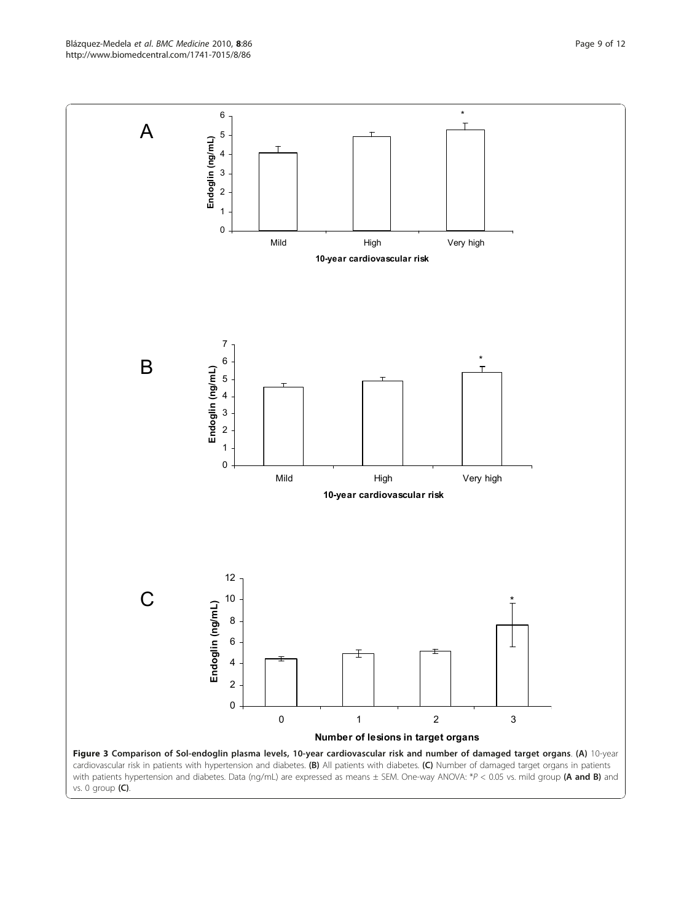<span id="page-8-0"></span>Blázquez-Medela et al. BMC Medicine 2010, 8:86 http://www.biomedcentral.com/1741-7015/8/86

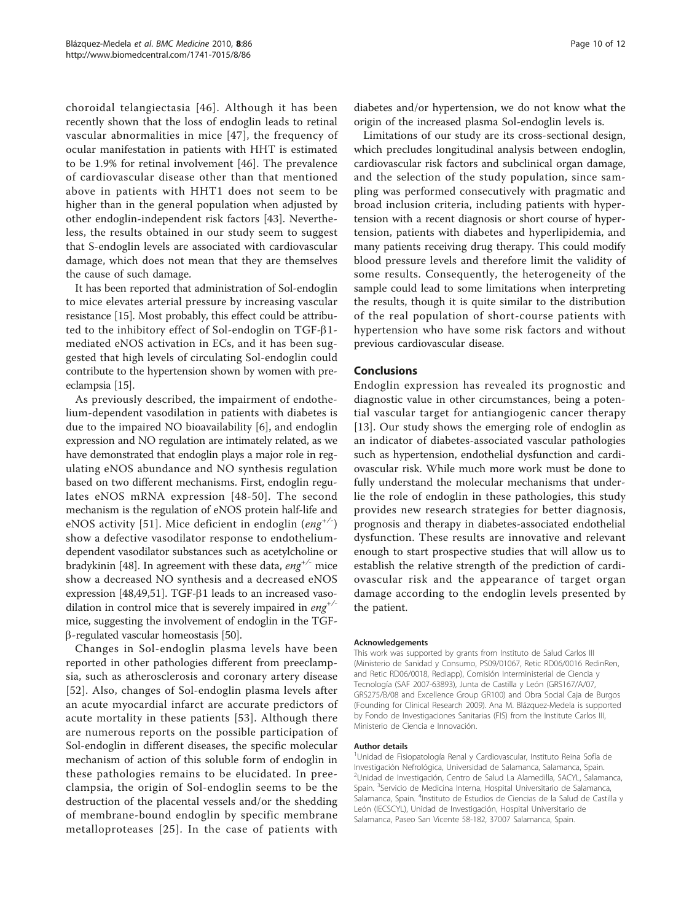choroidal telangiectasia [[46\]](#page-11-0). Although it has been recently shown that the loss of endoglin leads to retinal vascular abnormalities in mice [[47\]](#page-11-0), the frequency of ocular manifestation in patients with HHT is estimated to be 1.9% for retinal involvement [[46\]](#page-11-0). The prevalence of cardiovascular disease other than that mentioned above in patients with HHT1 does not seem to be higher than in the general population when adjusted by other endoglin-independent risk factors [\[43](#page-11-0)]. Nevertheless, the results obtained in our study seem to suggest that S-endoglin levels are associated with cardiovascular damage, which does not mean that they are themselves the cause of such damage.

It has been reported that administration of Sol-endoglin to mice elevates arterial pressure by increasing vascular resistance [\[15](#page-10-0)]. Most probably, this effect could be attributed to the inhibitory effect of Sol-endoglin on TGF- $\beta$ 1mediated eNOS activation in ECs, and it has been suggested that high levels of circulating Sol-endoglin could contribute to the hypertension shown by women with preeclampsia [\[15\]](#page-10-0).

As previously described, the impairment of endothelium-dependent vasodilation in patients with diabetes is due to the impaired NO bioavailability [\[6](#page-10-0)], and endoglin expression and NO regulation are intimately related, as we have demonstrated that endoglin plays a major role in regulating eNOS abundance and NO synthesis regulation based on two different mechanisms. First, endoglin regulates eNOS mRNA expression [[48-50](#page-11-0)]. The second mechanism is the regulation of eNOS protein half-life and eNOS activity [[51](#page-11-0)]. Mice deficient in endoglin  $(eng^{+/-})$ show a defective vasodilator response to endotheliumdependent vasodilator substances such as acetylcholine or bradykinin [[48](#page-11-0)]. In agreement with these data,  $eng^{+/}$  mice show a decreased NO synthesis and a decreased eNOS expression [\[48,49,51\]](#page-11-0). TGF- $\beta$ 1 leads to an increased vasodilation in control mice that is severely impaired in  $eng^{+/}$ mice, suggesting the involvement of endoglin in the TGF- $\beta$ -regulated vascular homeostasis [[50](#page-11-0)].

Changes in Sol-endoglin plasma levels have been reported in other pathologies different from preeclampsia, such as atherosclerosis and coronary artery disease [[52](#page-11-0)]. Also, changes of Sol-endoglin plasma levels after an acute myocardial infarct are accurate predictors of acute mortality in these patients [[53](#page-11-0)]. Although there are numerous reports on the possible participation of Sol-endoglin in different diseases, the specific molecular mechanism of action of this soluble form of endoglin in these pathologies remains to be elucidated. In preeclampsia, the origin of Sol-endoglin seems to be the destruction of the placental vessels and/or the shedding of membrane-bound endoglin by specific membrane metalloproteases [[25](#page-10-0)]. In the case of patients with

diabetes and/or hypertension, we do not know what the origin of the increased plasma Sol-endoglin levels is.

Limitations of our study are its cross-sectional design, which precludes longitudinal analysis between endoglin, cardiovascular risk factors and subclinical organ damage, and the selection of the study population, since sampling was performed consecutively with pragmatic and broad inclusion criteria, including patients with hypertension with a recent diagnosis or short course of hypertension, patients with diabetes and hyperlipidemia, and many patients receiving drug therapy. This could modify blood pressure levels and therefore limit the validity of some results. Consequently, the heterogeneity of the sample could lead to some limitations when interpreting the results, though it is quite similar to the distribution of the real population of short-course patients with hypertension who have some risk factors and without previous cardiovascular disease.

#### Conclusions

Endoglin expression has revealed its prognostic and diagnostic value in other circumstances, being a potential vascular target for antiangiogenic cancer therapy [[13\]](#page-10-0). Our study shows the emerging role of endoglin as an indicator of diabetes-associated vascular pathologies such as hypertension, endothelial dysfunction and cardiovascular risk. While much more work must be done to fully understand the molecular mechanisms that underlie the role of endoglin in these pathologies, this study provides new research strategies for better diagnosis, prognosis and therapy in diabetes-associated endothelial dysfunction. These results are innovative and relevant enough to start prospective studies that will allow us to establish the relative strength of the prediction of cardiovascular risk and the appearance of target organ damage according to the endoglin levels presented by the patient.

#### Acknowledgements

This work was supported by grants from Instituto de Salud Carlos III (Ministerio de Sanidad y Consumo, PS09/01067, Retic RD06/0016 RedinRen, and Retic RD06/0018, Rediapp), Comisión Interministerial de Ciencia y Tecnología (SAF 2007-63893), Junta de Castilla y León (GRS167/A/07, GRS275/B/08 and Excellence Group GR100) and Obra Social Caja de Burgos (Founding for Clinical Research 2009). Ana M. Blázquez-Medela is supported by Fondo de Investigaciones Sanitarias (FIS) from the Institute Carlos III, Ministerio de Ciencia e Innovación.

#### Author details

<sup>1</sup>Unidad de Fisiopatología Renal y Cardiovascular, Instituto Reina Sofía de Investigación Nefrológica, Universidad de Salamanca, Salamanca, Spain. 2 Unidad de Investigación, Centro de Salud La Alamedilla, SACYL, Salamanca, Spain. <sup>3</sup>Servicio de Medicina Interna, Hospital Universitario de Salamanca, Salamanca, Spain. <sup>4</sup>Instituto de Estudios de Ciencias de la Salud de Castilla y León (IECSCYL), Unidad de Investigación, Hospital Universitario de Salamanca, Paseo San Vicente 58-182, 37007 Salamanca, Spain.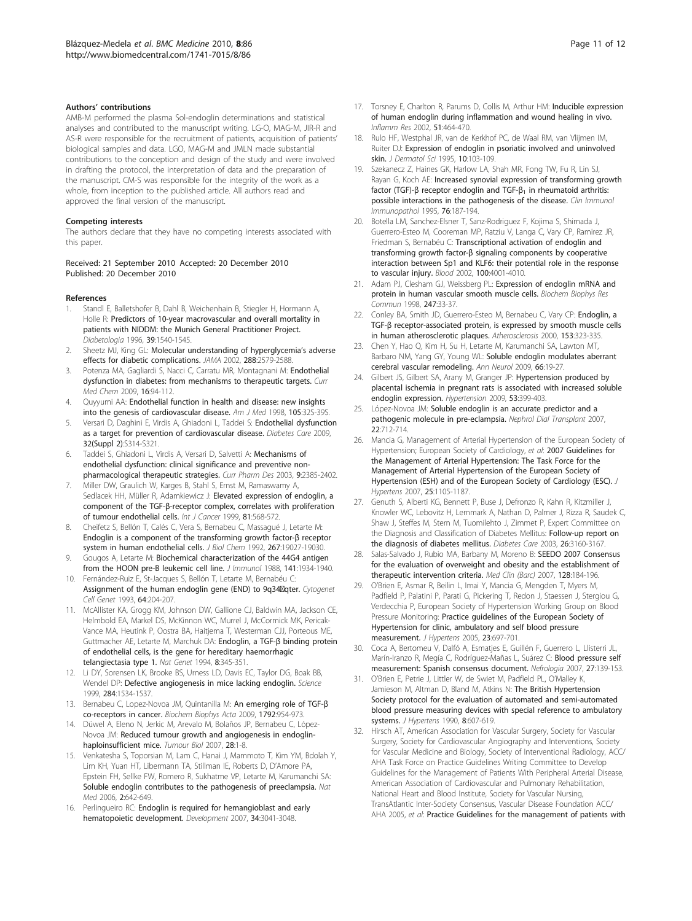#### <span id="page-10-0"></span>Authors' contributions

AMB-M performed the plasma Sol-endoglin determinations and statistical analyses and contributed to the manuscript writing. LG-O, MAG-M, JIR-R and AS-R were responsible for the recruitment of patients, acquisition of patients' biological samples and data. LGO, MAG-M and JMLN made substantial contributions to the conception and design of the study and were involved in drafting the protocol, the interpretation of data and the preparation of the manuscript. CM-S was responsible for the integrity of the work as a whole, from inception to the published article. All authors read and approved the final version of the manuscript.

#### Competing interests

The authors declare that they have no competing interests associated with this paper.

#### Received: 21 September 2010 Accepted: 20 December 2010 Published: 20 December 2010

#### References

- 1. Standl E, Balletshofer B, Dahl B, Weichenhain B, Stiegler H, Hormann A, Holle R: [Predictors of 10-year macrovascular and overall mortality in](http://www.ncbi.nlm.nih.gov/pubmed/8960840?dopt=Abstract) [patients with NIDDM: the Munich General Practitioner Project.](http://www.ncbi.nlm.nih.gov/pubmed/8960840?dopt=Abstract) Diabetologia 1996, 39:1540-1545.
- 2. Sheetz MJ, King GL: [Molecular understanding of hyperglycemia](http://www.ncbi.nlm.nih.gov/pubmed/12444865?dopt=Abstract)'s adverse [effects for diabetic complications.](http://www.ncbi.nlm.nih.gov/pubmed/12444865?dopt=Abstract) JAMA 2002, 288:2579-2588.
- Potenza MA, Gagliardi S, Nacci C, Carratu MR, Montagnani M: [Endothelial](http://www.ncbi.nlm.nih.gov/pubmed/19149564?dopt=Abstract) [dysfunction in diabetes: from mechanisms to therapeutic targets.](http://www.ncbi.nlm.nih.gov/pubmed/19149564?dopt=Abstract) Curr Med Chem 2009, 16:94-112.
- 4. Quyyumi AA: [Endothelial function in health and disease: new insights](http://www.ncbi.nlm.nih.gov/pubmed/9707266?dopt=Abstract) [into the genesis of cardiovascular disease.](http://www.ncbi.nlm.nih.gov/pubmed/9707266?dopt=Abstract) Am J Med 1998, 105:32S-39S.
- Versari D, Daghini E, Virdis A, Ghiadoni L, Taddei S: [Endothelial dysfunction](http://www.ncbi.nlm.nih.gov/pubmed/19875572?dopt=Abstract) [as a target for prevention of cardiovascular disease.](http://www.ncbi.nlm.nih.gov/pubmed/19875572?dopt=Abstract) Diabetes Care 2009, 32(Suppl 2):S314-S321.
- 6. Taddei S, Ghiadoni L, Virdis A, Versari D, Salvetti A: [Mechanisms of](http://www.ncbi.nlm.nih.gov/pubmed/14529554?dopt=Abstract) [endothelial dysfunction: clinical significance and preventive non](http://www.ncbi.nlm.nih.gov/pubmed/14529554?dopt=Abstract)[pharmacological therapeutic strategies.](http://www.ncbi.nlm.nih.gov/pubmed/14529554?dopt=Abstract) Curr Pharm Des 2003, 9:2385-2402.
- 7. Miller DW, Graulich W, Karges B, Stahl S, Ernst M, Ramaswamy A, Sedlacek HH, Müller R, Adamkiewicz J: [Elevated expression of endoglin, a](http://www.ncbi.nlm.nih.gov/pubmed/10225446?dopt=Abstract) component of the TGF-β[-receptor complex, correlates with proliferation](http://www.ncbi.nlm.nih.gov/pubmed/10225446?dopt=Abstract) [of tumour endothelial cells.](http://www.ncbi.nlm.nih.gov/pubmed/10225446?dopt=Abstract) Int J Cancer 1999, 81:568-572.
- 8. Cheifetz S, Bellón T, Calés C, Vera S, Bernabeu C, Massagué J, Letarte M: [Endoglin is a component of the transforming growth factor-](http://www.ncbi.nlm.nih.gov/pubmed/1326540?dopt=Abstract)β receptor [system in human endothelial cells.](http://www.ncbi.nlm.nih.gov/pubmed/1326540?dopt=Abstract) J Biol Chem 1992, 267:19027-19030.
- Gougos A, Letarte M: [Biochemical characterization of the 44G4 antigen](http://www.ncbi.nlm.nih.gov/pubmed/3262645?dopt=Abstract) [from the HOON pre-B leukemic cell line.](http://www.ncbi.nlm.nih.gov/pubmed/3262645?dopt=Abstract) *J Immunol* 1988, 141:1934-1940.
- 10. Fernández-Ruiz E, St-Jacques S, Bellón T, Letarte M, Bernabéu C: [Assignment of the human endoglin gene \(END\) to 9q34](http://www.ncbi.nlm.nih.gov/pubmed/8404038?dopt=Abstract)<sup>8</sup>qter. Cytogenet Cell Genet 1993, 64:204-207.
- 11. McAllister KA, Grogg KM, Johnson DW, Gallione CJ, Baldwin MA, Jackson CE, Helmbold EA, Markel DS, McKinnon WC, Murrel J, McCormick MK, Pericak-Vance MA, Heutink P, Oostra BA, Haitjema T, Westerman CJJ, Porteous ME, Guttmacher AE, Letarte M, Marchuk DA: [Endoglin, a TGF-](http://www.ncbi.nlm.nih.gov/pubmed/7894484?dopt=Abstract)β binding protein [of endothelial cells, is the gene for hereditary haemorrhagic](http://www.ncbi.nlm.nih.gov/pubmed/7894484?dopt=Abstract) [telangiectasia type 1.](http://www.ncbi.nlm.nih.gov/pubmed/7894484?dopt=Abstract) Nat Genet 1994, 8:345-351.
- 12. Li DY, Sorensen LK, Brooke BS, Urness LD, Davis EC, Taylor DG, Boak BB, Wendel DP: [Defective angiogenesis in mice lacking endoglin.](http://www.ncbi.nlm.nih.gov/pubmed/10348742?dopt=Abstract) Science 1999, 284:1534-1537.
- 13. Bernabeu C, Lopez-Novoa JM, Quintanilla M: [An emerging role of TGF-](http://www.ncbi.nlm.nih.gov/pubmed/19607914?dopt=Abstract)β [co-receptors in cancer.](http://www.ncbi.nlm.nih.gov/pubmed/19607914?dopt=Abstract) Biochem Biophys Acta 2009, 1792:954-973.
- 14. Düwel A, Eleno N, Jerkic M, Arevalo M, Bolaños JP, Bernabeu C, López-Novoa JM: [Reduced tumour growth and angiogenesis in endoglin](http://www.ncbi.nlm.nih.gov/pubmed/17108712?dopt=Abstract)[haploinsufficient mice.](http://www.ncbi.nlm.nih.gov/pubmed/17108712?dopt=Abstract) Tumour Biol 2007, 28:1-8.
- 15. Venkatesha S, Toporsian M, Lam C, Hanai J, Mammoto T, Kim YM, Bdolah Y, Lim KH, Yuan HT, Libermann TA, Stillman IE, Roberts D, D'Amore PA, Epstein FH, Sellke FW, Romero R, Sukhatme VP, Letarte M, Karumanchi SA: Soluble endoglin contributes to the pathogenesis of preeclampsia. Nat Med 2006, 2:642-649.
- 16. Perlingueiro RC: Endoglin is required for hemangioblast and early hematopoietic development. Development 2007, 34:3041-3048.
- 17. Torsney E, Charlton R, Parums D, Collis M, Arthur HM: [Inducible expression](http://www.ncbi.nlm.nih.gov/pubmed/12365720?dopt=Abstract) [of human endoglin during inflammation and wound healing in vivo.](http://www.ncbi.nlm.nih.gov/pubmed/12365720?dopt=Abstract) Inflamm Res 2002, 51:464-470.
- 18. Rulo HF, Westphal JR, van de Kerkhof PC, de Waal RM, van Vlijmen IM, Ruiter DJ: [Expression of endoglin in psoriatic involved and uninvolved](http://www.ncbi.nlm.nih.gov/pubmed/8534608?dopt=Abstract) [skin.](http://www.ncbi.nlm.nih.gov/pubmed/8534608?dopt=Abstract) J Dermatol Sci 1995, 10:103-109.
- 19. Szekanecz Z, Haines GK, Harlow LA, Shah MR, Fong TW, Fu R, Lin SJ, Rayan G, Koch AE: [Increased synovial expression of transforming growth](http://www.ncbi.nlm.nih.gov/pubmed/7614737?dopt=Abstract) factor (TGF)-β [receptor endoglin and TGF-](http://www.ncbi.nlm.nih.gov/pubmed/7614737?dopt=Abstract) $β_1$  [in rheumatoid arthritis:](http://www.ncbi.nlm.nih.gov/pubmed/7614737?dopt=Abstract) [possible interactions in the pathogenesis of the disease.](http://www.ncbi.nlm.nih.gov/pubmed/7614737?dopt=Abstract) Clin Immunol Immunopathol 1995, 76:187-194.
- 20. Botella LM, Sanchez-Elsner T, Sanz-Rodriguez F, Kojima S, Shimada J, Guerrero-Esteo M, Cooreman MP, Ratziu V, Langa C, Vary CP, Ramirez JR, Friedman S, Bernabéu C: [Transcriptional activation of endoglin and](http://www.ncbi.nlm.nih.gov/pubmed/12433697?dopt=Abstract) transforming growth factor-β [signaling components by cooperative](http://www.ncbi.nlm.nih.gov/pubmed/12433697?dopt=Abstract) [interaction between Sp1 and KLF6: their potential role in the response](http://www.ncbi.nlm.nih.gov/pubmed/12433697?dopt=Abstract) [to vascular injury.](http://www.ncbi.nlm.nih.gov/pubmed/12433697?dopt=Abstract) Blood 2002, 100:4001-4010.
- 21. Adam PJ, Clesham GJ, Weissberg PL: [Expression of endoglin mRNA and](http://www.ncbi.nlm.nih.gov/pubmed/9636649?dopt=Abstract) [protein in human vascular smooth muscle cells.](http://www.ncbi.nlm.nih.gov/pubmed/9636649?dopt=Abstract) Biochem Biophys Res Commun 1998, 247:33-37.
- 22. Conley BA, Smith JD, Guerrero-Esteo M, Bernabeu C, Vary CP: [Endoglin, a](http://www.ncbi.nlm.nih.gov/pubmed/11164421?dopt=Abstract) TGF-β [receptor-associated protein, is expressed by smooth muscle cells](http://www.ncbi.nlm.nih.gov/pubmed/11164421?dopt=Abstract) [in human atherosclerotic plaques.](http://www.ncbi.nlm.nih.gov/pubmed/11164421?dopt=Abstract) Atherosclerosis 2000, 153:323-335.
- 23. Chen Y, Hao Q, Kim H, Su H, Letarte M, Karumanchi SA, Lawton MT, Barbaro NM, Yang GY, Young WL: [Soluble endoglin modulates aberrant](http://www.ncbi.nlm.nih.gov/pubmed/19670444?dopt=Abstract) [cerebral vascular remodeling.](http://www.ncbi.nlm.nih.gov/pubmed/19670444?dopt=Abstract) Ann Neurol 2009, 66:19-27.
- 24. Gilbert JS, Gilbert SA, Arany M, Granger JP: [Hypertension produced by](http://www.ncbi.nlm.nih.gov/pubmed/19075097?dopt=Abstract) [placental ischemia in pregnant rats is associated with increased soluble](http://www.ncbi.nlm.nih.gov/pubmed/19075097?dopt=Abstract) [endoglin expression.](http://www.ncbi.nlm.nih.gov/pubmed/19075097?dopt=Abstract) Hypertension 2009, 53:399-403.
- 25. López-Novoa JM: [Soluble endoglin is an accurate predictor and a](http://www.ncbi.nlm.nih.gov/pubmed/17210583?dopt=Abstract) [pathogenic molecule in pre-eclampsia.](http://www.ncbi.nlm.nih.gov/pubmed/17210583?dopt=Abstract) Nephrol Dial Transplant 2007, 22:712-714.
- 26. Mancia G, Management of Arterial Hypertension of the European Society of Hypertension; European Society of Cardiology, et al: [2007 Guidelines for](http://www.ncbi.nlm.nih.gov/pubmed/17563527?dopt=Abstract) [the Management of Arterial Hypertension: The Task Force for the](http://www.ncbi.nlm.nih.gov/pubmed/17563527?dopt=Abstract) [Management of Arterial Hypertension of the European Society of](http://www.ncbi.nlm.nih.gov/pubmed/17563527?dopt=Abstract) [Hypertension \(ESH\) and of the European Society of Cardiology \(ESC\).](http://www.ncbi.nlm.nih.gov/pubmed/17563527?dopt=Abstract) J Hypertens 2007, 25:1105-1187.
- 27. Genuth S, Alberti KG, Bennett P, Buse J, Defronzo R, Kahn R, Kitzmiller J, Knowler WC, Lebovitz H, Lernmark A, Nathan D, Palmer J, Rizza R, Saudek C, Shaw J, Steffes M, Stern M, Tuomilehto J, Zimmet P, Expert Committee on the Diagnosis and Classification of Diabetes Mellitus: [Follow-up report on](http://www.ncbi.nlm.nih.gov/pubmed/14578255?dopt=Abstract) [the diagnosis of diabetes mellitus.](http://www.ncbi.nlm.nih.gov/pubmed/14578255?dopt=Abstract) Diabetes Care 2003, 26:3160-3167.
- 28. Salas-Salvado J, Rubio MA, Barbany M, Moreno B: [SEEDO 2007 Consensus](http://www.ncbi.nlm.nih.gov/pubmed/17298782?dopt=Abstract) [for the evaluation of overweight and obesity and the establishment of](http://www.ncbi.nlm.nih.gov/pubmed/17298782?dopt=Abstract) [therapeutic intervention criteria.](http://www.ncbi.nlm.nih.gov/pubmed/17298782?dopt=Abstract) Med Clin (Barc) 2007, 128:184-196.
- 29. O'Brien E, Asmar R, Beilin L, Imai Y, Mancia G, Mengden T, Myers M, Padfield P, Palatini P, Parati G, Pickering T, Redon J, Staessen J, Stergiou G, Verdecchia P, European Society of Hypertension Working Group on Blood Pressure Monitoring: [Practice guidelines of the European Society of](http://www.ncbi.nlm.nih.gov/pubmed/15775768?dopt=Abstract) [Hypertension for clinic, ambulatory and self blood pressure](http://www.ncbi.nlm.nih.gov/pubmed/15775768?dopt=Abstract) [measurement.](http://www.ncbi.nlm.nih.gov/pubmed/15775768?dopt=Abstract) J Hypertens 2005, 23:697-701.
- 30. Coca A, Bertomeu V, Dalfó A, Esmatjes E, Guillén F, Guerrero L, Llisterri JL, Marín-Iranzo R, Megía C, Rodríguez-Mañas L, Suárez C: [Blood pressure self](http://www.ncbi.nlm.nih.gov/pubmed/17564558?dopt=Abstract) [measurement: Spanish consensus document.](http://www.ncbi.nlm.nih.gov/pubmed/17564558?dopt=Abstract) Nefrologia 2007, 27:139-153.
- 31. O'Brien E, Petrie J, Littler W, de Swiet M, Padfield PL, O'Malley K, Jamieson M, Altman D, Bland M, Atkins N: [The British Hypertension](http://www.ncbi.nlm.nih.gov/pubmed/2168451?dopt=Abstract) [Society protocol for the evaluation of automated and semi-automated](http://www.ncbi.nlm.nih.gov/pubmed/2168451?dopt=Abstract) [blood pressure measuring devices with special reference to ambulatory](http://www.ncbi.nlm.nih.gov/pubmed/2168451?dopt=Abstract) [systems.](http://www.ncbi.nlm.nih.gov/pubmed/2168451?dopt=Abstract) *J Hypertens* 1990, 8:607-619.
- 32. Hirsch AT, American Association for Vascular Surgery, Society for Vascular Surgery, Society for Cardiovascular Angiography and Interventions, Society for Vascular Medicine and Biology, Society of Interventional Radiology, ACC/ AHA Task Force on Practice Guidelines Writing Committee to Develop Guidelines for the Management of Patients With Peripheral Arterial Disease, American Association of Cardiovascular and Pulmonary Rehabilitation, National Heart and Blood Institute, Society for Vascular Nursing, TransAtlantic Inter-Society Consensus, Vascular Disease Foundation ACC/ AHA 2005, et al: [Practice Guidelines for the management of patients with](http://www.ncbi.nlm.nih.gov/pubmed/16549646?dopt=Abstract)